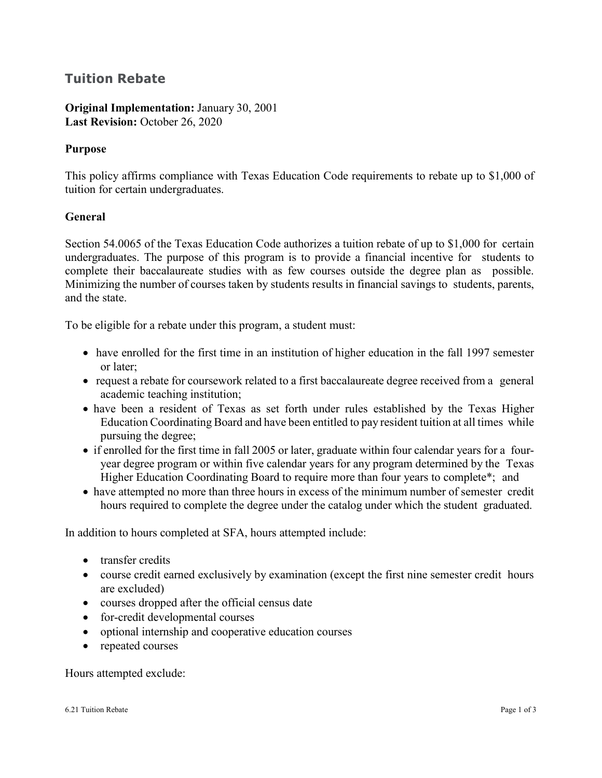## **Tuition Rebate**

## **Original Implementation:** January 30, 2001 Last Revision: October 26, 2020

## **Purpose**

This policy affirms compliance with Texas Education Code requirements to rebate up to \$1,000 of tuition for certain undergraduates.

## **General**

Section 54.0065 of the Texas Education Code authorizes a tuition rebate of up to \$1,000 for certain undergraduates. The purpose of this program is to provide a financial incentive for students to complete their baccalaureate studies with as few courses outside the degree plan as possible. Minimizing the number of courses taken by students results in financial savings to students, parents, and the state.

To be eligible for a rebate under this program, a student must:

- have enrolled for the first time in an institution of higher education in the fall 1997 semester or later;
- request a rebate for coursework related to a first baccalaureate degree received from a general academic teaching institution;
- have been a resident of Texas as set forth under rules established by the Texas Higher Education Coordinating Board and have been entitled to pay resident tuition at all times while pursuing the degree;
- if enrolled for the first time in fall 2005 or later, graduate within four calendar years for a fouryear degree program or within five calendar years for any program determined by the Texas Higher Education Coordinating Board to require more than four years to complete\*; and
- have attempted no more than three hours in excess of the minimum number of semester credit hours required to complete the degree under the catalog under which the student graduated.

In addition to hours completed at SFA, hours attempted include:

- transfer credits
- course credit earned exclusively by examination (except the first nine semester credit hours are excluded)
- courses dropped after the official census date
- for-credit developmental courses
- optional internship and cooperative education courses
- repeated courses

Hours attempted exclude: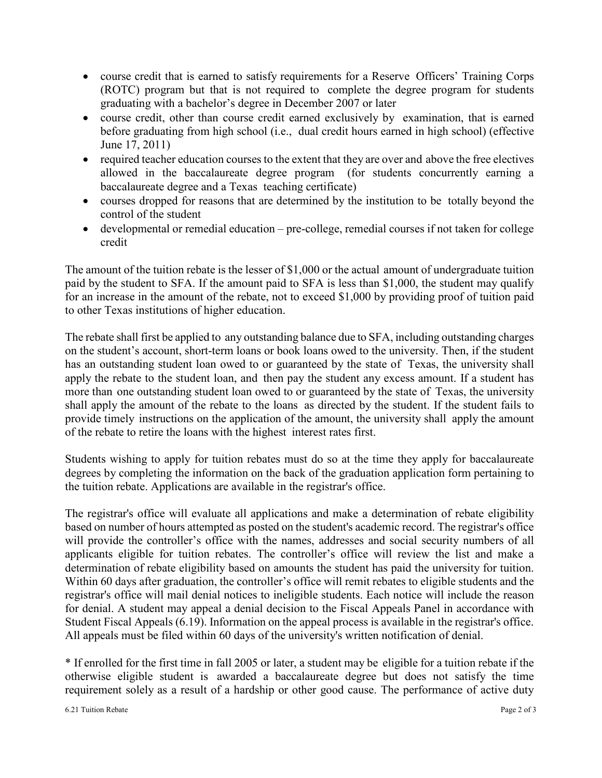- course credit that is earned to satisfy requirements for a Reserve Officers' Training Corps (ROTC) program but that is not required to complete the degree program for students graduating with a bachelor's degree in December 2007 or later
- course credit, other than course credit earned exclusively by examination, that is earned before graduating from high school (i.e., dual credit hours earned in high school) (effective June 17, 2011)
- required teacher education courses to the extent that they are over and above the free electives allowed in the baccalaureate degree program (for students concurrently earning a baccalaureate degree and a Texas teaching certificate)
- courses dropped for reasons that are determined by the institution to be totally beyond the control of the student
- developmental or remedial education pre-college, remedial courses if not taken for college credit

The amount of the tuition rebate is the lesser of \$1,000 or the actual amount of undergraduate tuition paid by the student to SFA. If the amount paid to SFA is less than \$1,000, the student may qualify for an increase in the amount of the rebate, not to exceed \$1,000 by providing proof of tuition paid to other Texas institutions of higher education.

The rebate shall first be applied to any outstanding balance due to SFA, including outstanding charges on the student's account, short-term loans or book loans owed to the university. Then, if the student has an outstanding student loan owed to or guaranteed by the state of Texas, the university shall apply the rebate to the student loan, and then pay the student any excess amount. If a student has more than one outstanding student loan owed to or guaranteed by the state of Texas, the university shall apply the amount of the rebate to the loans as directed by the student. If the student fails to provide timely instructions on the application of the amount, the university shall apply the amount of the rebate to retire the loans with the highest interest rates first.

Students wishing to apply for tuition rebates must do so at the time they apply for baccalaureate degrees by completing the information on the back of the graduation application form pertaining to the tuition rebate. Applications are available in the registrar's office.

The registrar's office will evaluate all applications and make a determination of rebate eligibility based on number of hours attempted as posted on the student's academic record. The registrar's office will provide the controller's office with the names, addresses and social security numbers of all applicants eligible for tuition rebates. The controller's office will review the list and make a determination of rebate eligibility based on amounts the student has paid the university for tuition. Within 60 days after graduation, the controller's office will remit rebates to eligible students and the registrar's office will mail denial notices to ineligible students. Each notice will include the reason for denial. A student may appeal a denial decision to the Fiscal Appeals Panel in accordance with [Student Fiscal Appeals \(6.19\).](http://www.sfasu.edu/policies/6.19-student-fiscal-appeals.pdf) Information on the appeal process is available in the registrar's office. All appeals must be filed within 60 days of the university's written notification of denial.

\* If enrolled for the first time in fall 2005 or later, a student may be eligible for a tuition rebate if the otherwise eligible student is awarded a baccalaureate degree but does not satisfy the time requirement solely as a result of a hardship or other good cause. The performance of active duty